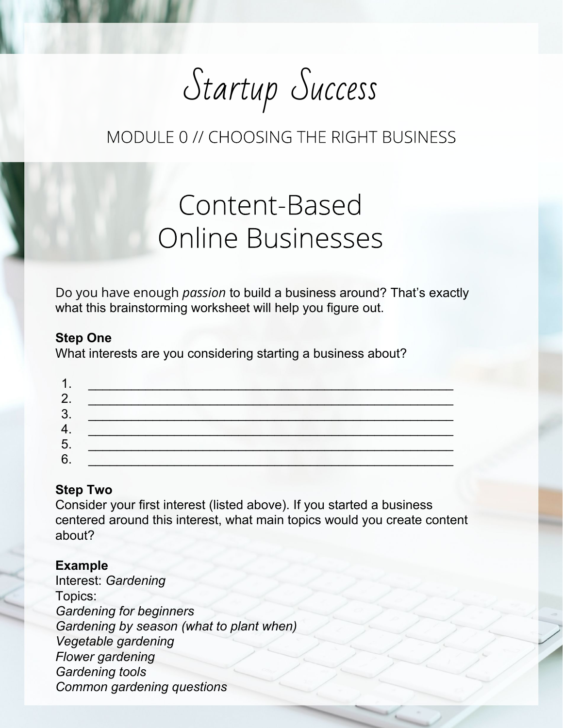Startup Success

# Content-Based **Online Businesses**

Do you have enough *passion* to build a business around? That's exactly what this brainstorming worksheet will help you figure out.

#### **Step One**

What interests are you considering starting a business about?

#### **Step Two**

Consider your first interest (listed above). If you started a business centered around this interest, what main topics would you create content about?

#### **Example**

Interest: *Gardening* Topics: *Gardening for beginners Gardening by season (what to plant when) Vegetable gardening Flower gardening Gardening tools Common gardening questions*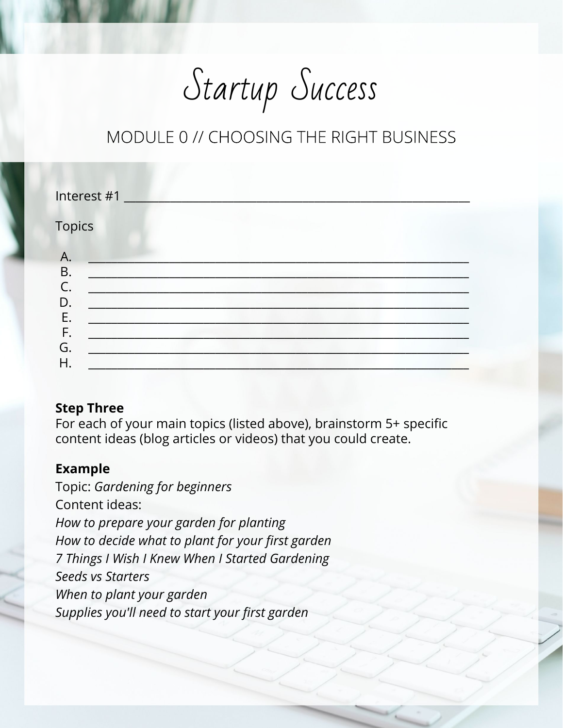Startup Success

| Interest #1                                                   |  |
|---------------------------------------------------------------|--|
| <b>Topics</b>                                                 |  |
| А.<br><b>B.</b><br>$\mathsf{C}$<br>D.<br>Ε.<br>F.<br>G.<br>Η. |  |

### **Step Three**

For each of your main topics (listed above), brainstorm 5+ specific content ideas (blog articles or videos) that you could create.

### **Example**

Topic: *Gardening for beginners* Content ideas: *How to prepare your garden for planting How to decide what to plant for your first garden 7 Things I Wish I Knew When I Started Gardening Seeds vs Starters When to plant your garden Supplies you'll need to start your first garden*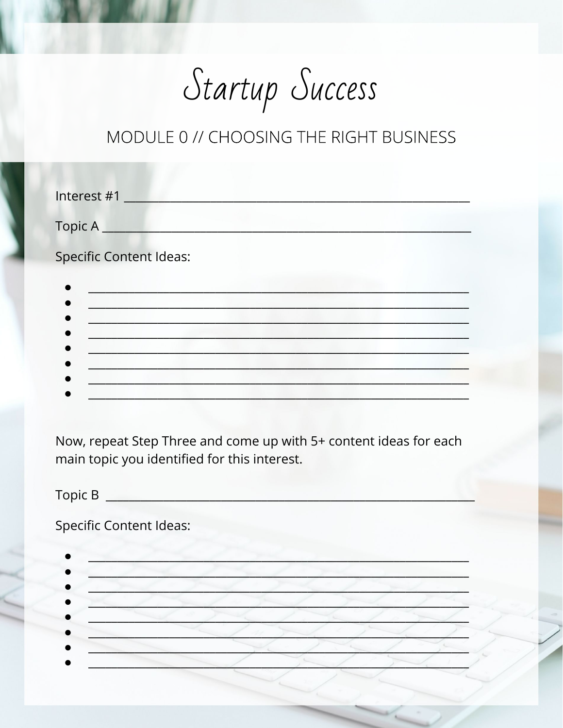Startup Success

| Interest #1                    |  |
|--------------------------------|--|
| Topic A                        |  |
| <b>Specific Content Ideas:</b> |  |
|                                |  |
|                                |  |
|                                |  |
|                                |  |
|                                |  |

Now, repeat Step Three and come up with 5+ content ideas for each main topic you identified for this interest.

 $Topic B$ 

**Specific Content Ideas:**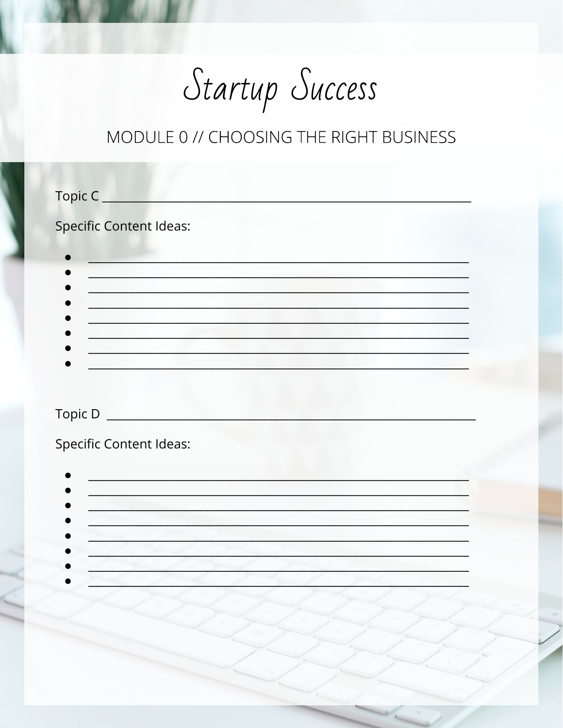Startup Success

| Topic C                                   |  |
|-------------------------------------------|--|
| <b>Specific Content Ideas:</b>            |  |
|                                           |  |
|                                           |  |
|                                           |  |
|                                           |  |
|                                           |  |
| Topic D <sub>______________________</sub> |  |
| <b>Specific Content Ideas:</b>            |  |
|                                           |  |
|                                           |  |
|                                           |  |
|                                           |  |
|                                           |  |
|                                           |  |
|                                           |  |
|                                           |  |
|                                           |  |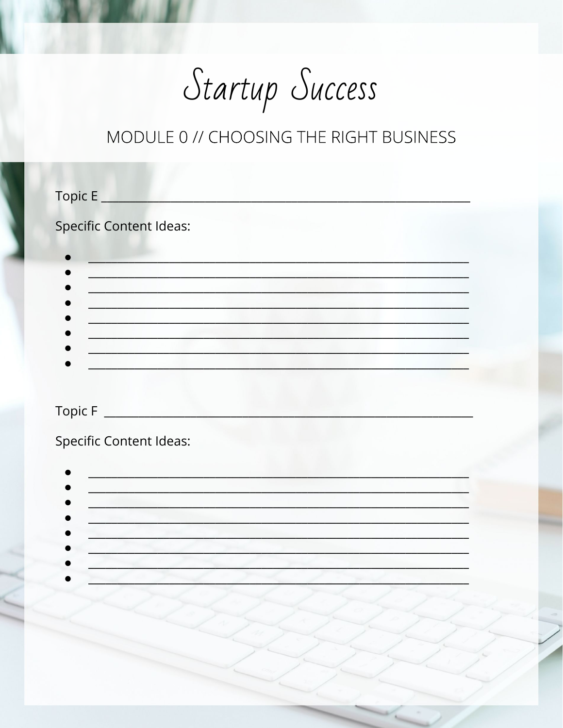Startup Success

| Topic E                                                                                                                                         |  |
|-------------------------------------------------------------------------------------------------------------------------------------------------|--|
| <b>Specific Content Ideas:</b><br>1. Ann an Dùbhlach ann an Dùbhlach an Dùbhlach an Dùbhlach an Dùbhlach an Dùbhlach an Dùbhlach an Dùbhlach an |  |
| <b>Specific Content Ideas:</b><br><u> 1989 - Johann Barn, amerikansk politiker (</u>                                                            |  |
|                                                                                                                                                 |  |
|                                                                                                                                                 |  |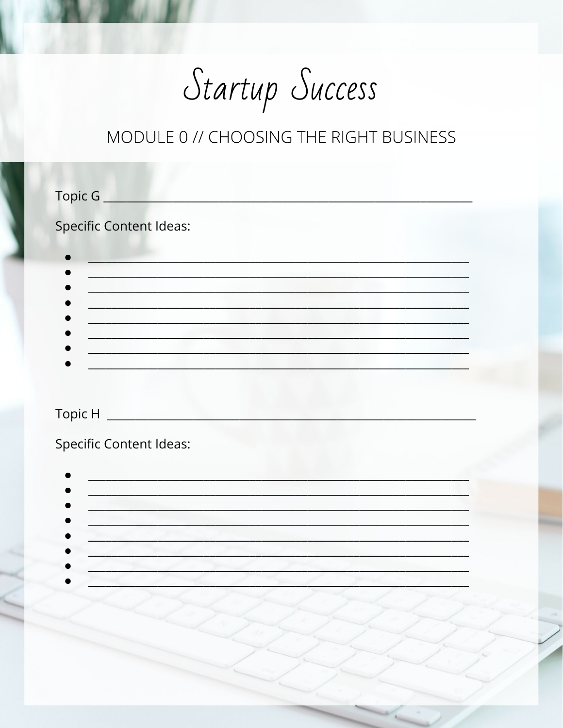Startup Success

| Topic G                        |  |
|--------------------------------|--|
| <b>Specific Content Ideas:</b> |  |
|                                |  |
|                                |  |
|                                |  |
|                                |  |
|                                |  |
|                                |  |
| <b>Specific Content Ideas:</b> |  |
|                                |  |
|                                |  |
|                                |  |
|                                |  |
|                                |  |
|                                |  |
|                                |  |
|                                |  |